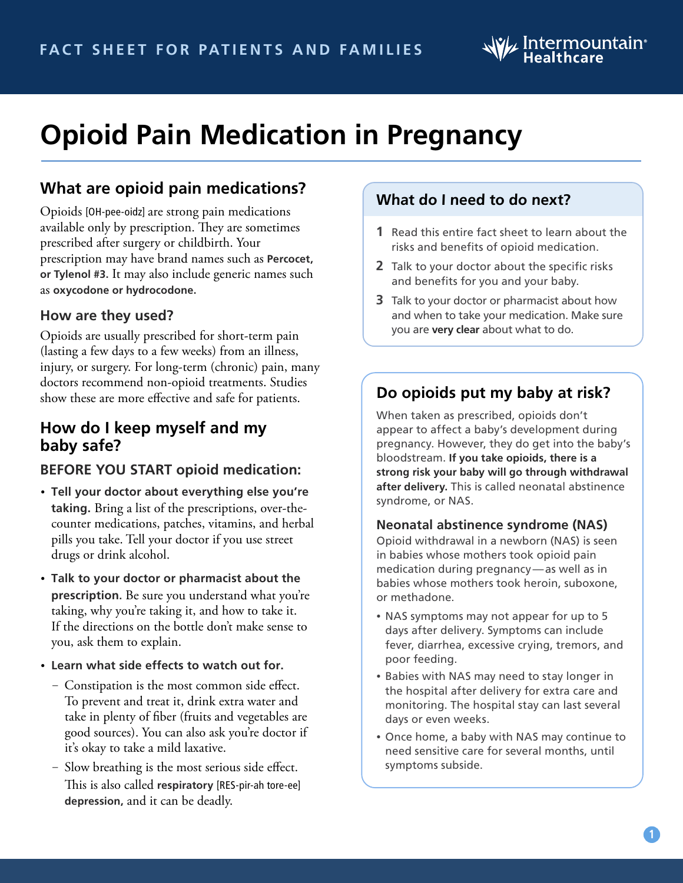# $\mathcal{W}_{\mathcal{F}}$  Intermountain $^{\circ}$

# **Opioid Pain Medication in Pregnancy**

# **What are opioid pain medications?**

Opioids [OH-pee-oidz] are strong pain medications available only by prescription. They are sometimes prescribed after surgery or childbirth. Your prescription may have brand names such as **Percocet, or Tylenol #3.** It may also include generic names such as **oxycodone or hydrocodone.**

#### **How are they used?**

Opioids are usually prescribed for short-term pain (lasting a few days to a few weeks) from an illness, injury, or surgery. For long-term (chronic) pain, many doctors recommend non-opioid treatments. Studies show these are more effective and safe for patients.

## **How do I keep myself and my baby safe?**

### **BEFORE YOU START opioid medication:**

- **Tell your doctor about everything else you're taking.** Bring a list of the prescriptions, over-thecounter medications, patches, vitamins, and herbal pills you take. Tell your doctor if you use street drugs or drink alcohol.
- **Talk to your doctor or pharmacist about the prescription.** Be sure you understand what you're taking, why you're taking it, and how to take it. If the directions on the bottle don't make sense to you, ask them to explain.
- **Learn what side effects to watch out for.** 
	- Constipation is the most common side effect. To prevent and treat it, drink extra water and take in plenty of fiber (fruits and vegetables are good sources). You can also ask you're doctor if it's okay to take a mild laxative.
	- Slow breathing is the most serious side effect. This is also called **respiratory** [RES-pir-ah tore-ee] **depression,** and it can be deadly.

### **What do I need to do next?**

- **1** Read this entire fact sheet to learn about the risks and benefits of opioid medication.
- **2** Talk to your doctor about the specific risks and benefits for you and your baby.
- **3** Talk to your doctor or pharmacist about how and when to take your medication. Make sure you are **very clear** about what to do.

## **Do opioids put my baby at risk?**

When taken as prescribed, opioids don't appear to affect a baby's development during pregnancy. However, they do get into the baby's bloodstream. **If you take opioids, there is a strong risk your baby will go through withdrawal after delivery.** This is called neonatal abstinence syndrome, or NAS.

#### **Neonatal abstinence syndrome (NAS)**

Opioid withdrawal in a newborn (NAS) is seen in babies whose mothers took opioid pain medication during pregnancy—as well as in babies whose mothers took heroin, suboxone, or methadone.

- NAS symptoms may not appear for up to 5 days after delivery. Symptoms can include fever, diarrhea, excessive crying, tremors, and poor feeding.
- Babies with NAS may need to stay longer in the hospital after delivery for extra care and monitoring. The hospital stay can last several days or even weeks.
- Once home, a baby with NAS may continue to need sensitive care for several months, until symptoms subside.